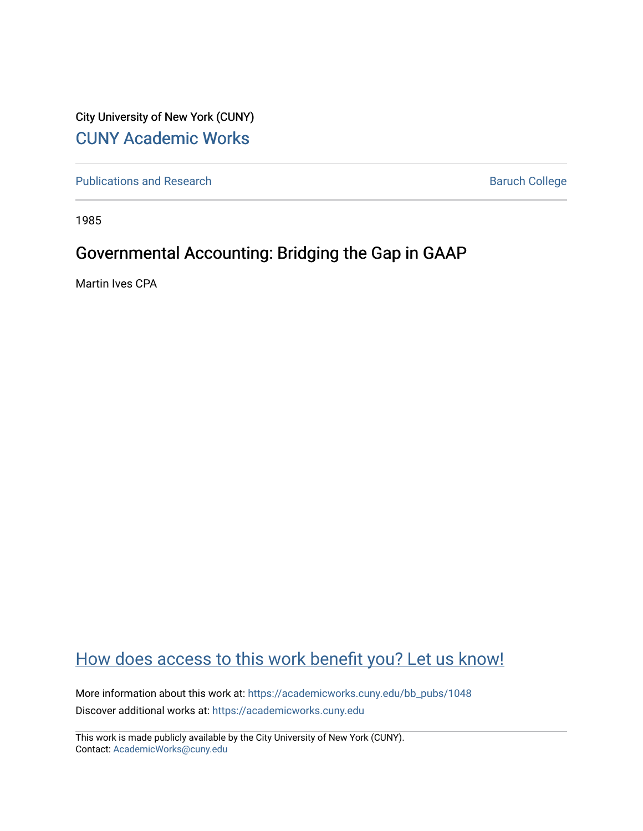City University of New York (CUNY) [CUNY Academic Works](https://academicworks.cuny.edu/) 

[Publications and Research](https://academicworks.cuny.edu/bb_pubs) **Baruch College** Baruch College

1985

## Governmental Accounting: Bridging the Gap in GAAP

Martin Ives CPA

# [How does access to this work benefit you? Let us know!](http://ols.cuny.edu/academicworks/?ref=https://academicworks.cuny.edu/bb_pubs/1048)

More information about this work at: [https://academicworks.cuny.edu/bb\\_pubs/1048](https://academicworks.cuny.edu/bb_pubs/1048) Discover additional works at: [https://academicworks.cuny.edu](https://academicworks.cuny.edu/?)

This work is made publicly available by the City University of New York (CUNY). Contact: [AcademicWorks@cuny.edu](mailto:AcademicWorks@cuny.edu)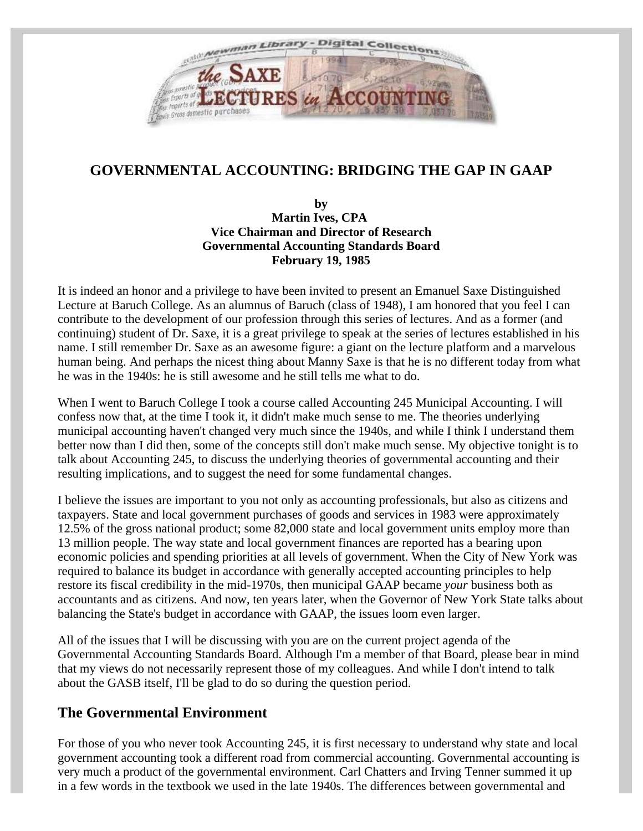

## **GOVERNMENTAL ACCOUNTING: BRIDGING THE GAP IN GAAP**

**by Martin Ives, CPA Vice Chairman and Director of Research Governmental Accounting Standards Board February 19, 1985**

It is indeed an honor and a privilege to have been invited to present an Emanuel Saxe Distinguished Lecture at Baruch College. As an alumnus of Baruch (class of 1948), I am honored that you feel I can contribute to the development of our profession through this series of lectures. And as a former (and continuing) student of Dr. Saxe, it is a great privilege to speak at the series of lectures established in his name. I still remember Dr. Saxe as an awesome figure: a giant on the lecture platform and a marvelous human being. And perhaps the nicest thing about Manny Saxe is that he is no different today from what he was in the 1940s: he is still awesome and he still tells me what to do.

When I went to Baruch College I took a course called Accounting 245 Municipal Accounting. I will confess now that, at the time I took it, it didn't make much sense to me. The theories underlying municipal accounting haven't changed very much since the 1940s, and while I think I understand them better now than I did then, some of the concepts still don't make much sense. My objective tonight is to talk about Accounting 245, to discuss the underlying theories of governmental accounting and their resulting implications, and to suggest the need for some fundamental changes.

I believe the issues are important to you not only as accounting professionals, but also as citizens and taxpayers. State and local government purchases of goods and services in 1983 were approximately 12.5% of the gross national product; some 82,000 state and local government units employ more than 13 million people. The way state and local government finances are reported has a bearing upon economic policies and spending priorities at all levels of government. When the City of New York was required to balance its budget in accordance with generally accepted accounting principles to help restore its fiscal credibility in the mid-1970s, then municipal GAAP became *your* business both as accountants and as citizens. And now, ten years later, when the Governor of New York State talks about balancing the State's budget in accordance with GAAP, the issues loom even larger.

All of the issues that I will be discussing with you are on the current project agenda of the Governmental Accounting Standards Board. Although I'm a member of that Board, please bear in mind that my views do not necessarily represent those of my colleagues. And while I don't intend to talk about the GASB itself, I'll be glad to do so during the question period.

#### **The Governmental Environment**

For those of you who never took Accounting 245, it is first necessary to understand why state and local government accounting took a different road from commercial accounting. Governmental accounting is very much a product of the governmental environment. Carl Chatters and Irving Tenner summed it up in a few words in the textbook we used in the late 1940s. The differences between governmental and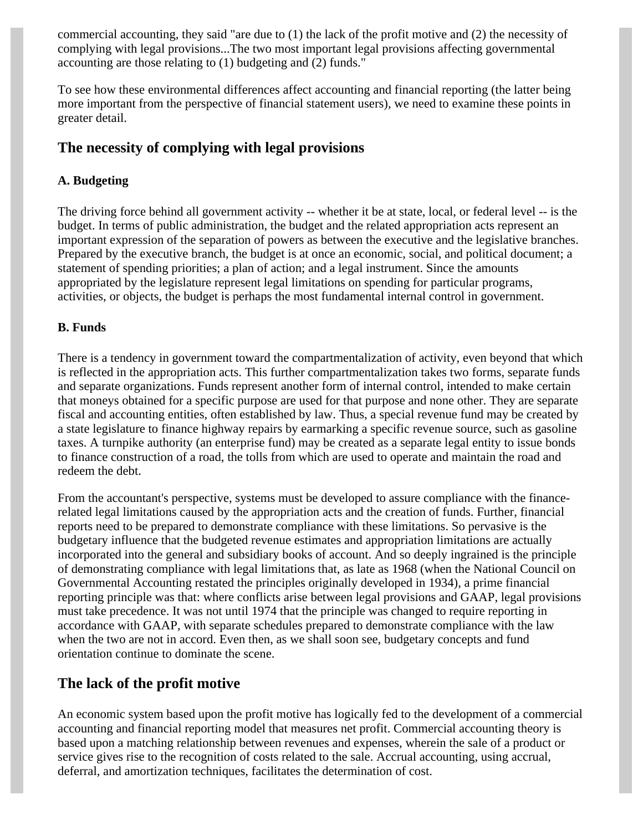commercial accounting, they said "are due to (1) the lack of the profit motive and (2) the necessity of complying with legal provisions...The two most important legal provisions affecting governmental accounting are those relating to (1) budgeting and (2) funds."

To see how these environmental differences affect accounting and financial reporting (the latter being more important from the perspective of financial statement users), we need to examine these points in greater detail.

### **The necessity of complying with legal provisions**

#### **A. Budgeting**

The driving force behind all government activity -- whether it be at state, local, or federal level -- is the budget. In terms of public administration, the budget and the related appropriation acts represent an important expression of the separation of powers as between the executive and the legislative branches. Prepared by the executive branch, the budget is at once an economic, social, and political document; a statement of spending priorities; a plan of action; and a legal instrument. Since the amounts appropriated by the legislature represent legal limitations on spending for particular programs, activities, or objects, the budget is perhaps the most fundamental internal control in government.

#### **B. Funds**

There is a tendency in government toward the compartmentalization of activity, even beyond that which is reflected in the appropriation acts. This further compartmentalization takes two forms, separate funds and separate organizations. Funds represent another form of internal control, intended to make certain that moneys obtained for a specific purpose are used for that purpose and none other. They are separate fiscal and accounting entities, often established by law. Thus, a special revenue fund may be created by a state legislature to finance highway repairs by earmarking a specific revenue source, such as gasoline taxes. A turnpike authority (an enterprise fund) may be created as a separate legal entity to issue bonds to finance construction of a road, the tolls from which are used to operate and maintain the road and redeem the debt.

From the accountant's perspective, systems must be developed to assure compliance with the financerelated legal limitations caused by the appropriation acts and the creation of funds. Further, financial reports need to be prepared to demonstrate compliance with these limitations. So pervasive is the budgetary influence that the budgeted revenue estimates and appropriation limitations are actually incorporated into the general and subsidiary books of account. And so deeply ingrained is the principle of demonstrating compliance with legal limitations that, as late as 1968 (when the National Council on Governmental Accounting restated the principles originally developed in 1934), a prime financial reporting principle was that: where conflicts arise between legal provisions and GAAP, legal provisions must take precedence. It was not until 1974 that the principle was changed to require reporting in accordance with GAAP, with separate schedules prepared to demonstrate compliance with the law when the two are not in accord. Even then, as we shall soon see, budgetary concepts and fund orientation continue to dominate the scene.

### **The lack of the profit motive**

An economic system based upon the profit motive has logically fed to the development of a commercial accounting and financial reporting model that measures net profit. Commercial accounting theory is based upon a matching relationship between revenues and expenses, wherein the sale of a product or service gives rise to the recognition of costs related to the sale. Accrual accounting, using accrual, deferral, and amortization techniques, facilitates the determination of cost.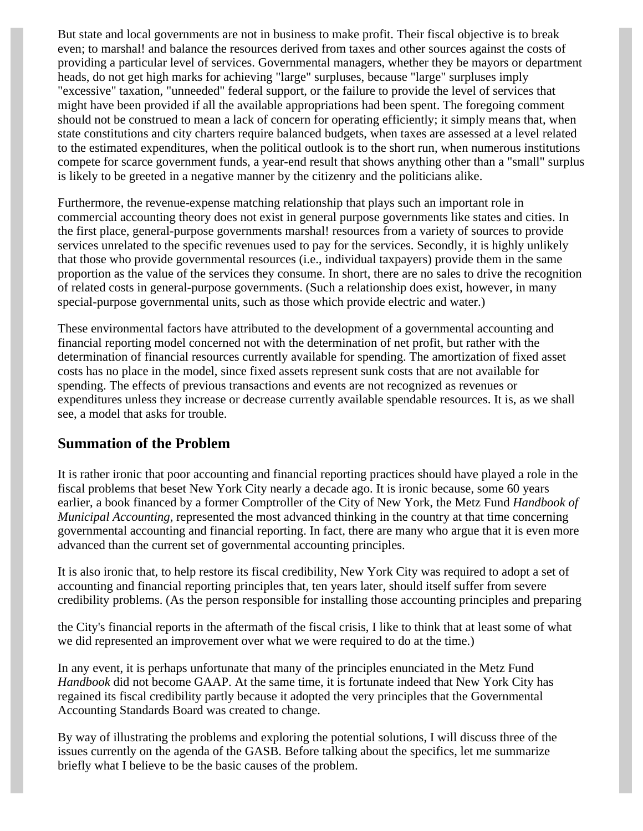But state and local governments are not in business to make profit. Their fiscal objective is to break even; to marshal! and balance the resources derived from taxes and other sources against the costs of providing a particular level of services. Governmental managers, whether they be mayors or department heads, do not get high marks for achieving "large" surpluses, because "large" surpluses imply "excessive" taxation, "unneeded" federal support, or the failure to provide the level of services that might have been provided if all the available appropriations had been spent. The foregoing comment should not be construed to mean a lack of concern for operating efficiently; it simply means that, when state constitutions and city charters require balanced budgets, when taxes are assessed at a level related to the estimated expenditures, when the political outlook is to the short run, when numerous institutions compete for scarce government funds, a year-end result that shows anything other than a "small" surplus is likely to be greeted in a negative manner by the citizenry and the politicians alike.

Furthermore, the revenue-expense matching relationship that plays such an important role in commercial accounting theory does not exist in general purpose governments like states and cities. In the first place, general-purpose governments marshal! resources from a variety of sources to provide services unrelated to the specific revenues used to pay for the services. Secondly, it is highly unlikely that those who provide governmental resources (i.e., individual taxpayers) provide them in the same proportion as the value of the services they consume. In short, there are no sales to drive the recognition of related costs in general-purpose governments. (Such a relationship does exist, however, in many special-purpose governmental units, such as those which provide electric and water.)

These environmental factors have attributed to the development of a governmental accounting and financial reporting model concerned not with the determination of net profit, but rather with the determination of financial resources currently available for spending. The amortization of fixed asset costs has no place in the model, since fixed assets represent sunk costs that are not available for spending. The effects of previous transactions and events are not recognized as revenues or expenditures unless they increase or decrease currently available spendable resources. It is, as we shall see, a model that asks for trouble.

#### **Summation of the Problem**

It is rather ironic that poor accounting and financial reporting practices should have played a role in the fiscal problems that beset New York City nearly a decade ago. It is ironic because, some 60 years earlier, a book financed by a former Comptroller of the City of New York, the Metz Fund *Handbook of Municipal Accounting,* represented the most advanced thinking in the country at that time concerning governmental accounting and financial reporting. In fact, there are many who argue that it is even more advanced than the current set of governmental accounting principles.

It is also ironic that, to help restore its fiscal credibility, New York City was required to adopt a set of accounting and financial reporting principles that, ten years later, should itself suffer from severe credibility problems. (As the person responsible for installing those accounting principles and preparing

the City's financial reports in the aftermath of the fiscal crisis, I like to think that at least some of what we did represented an improvement over what we were required to do at the time.)

In any event, it is perhaps unfortunate that many of the principles enunciated in the Metz Fund *Handbook* did not become GAAP. At the same time, it is fortunate indeed that New York City has regained its fiscal credibility partly because it adopted the very principles that the Governmental Accounting Standards Board was created to change.

By way of illustrating the problems and exploring the potential solutions, I will discuss three of the issues currently on the agenda of the GASB. Before talking about the specifics, let me summarize briefly what I believe to be the basic causes of the problem.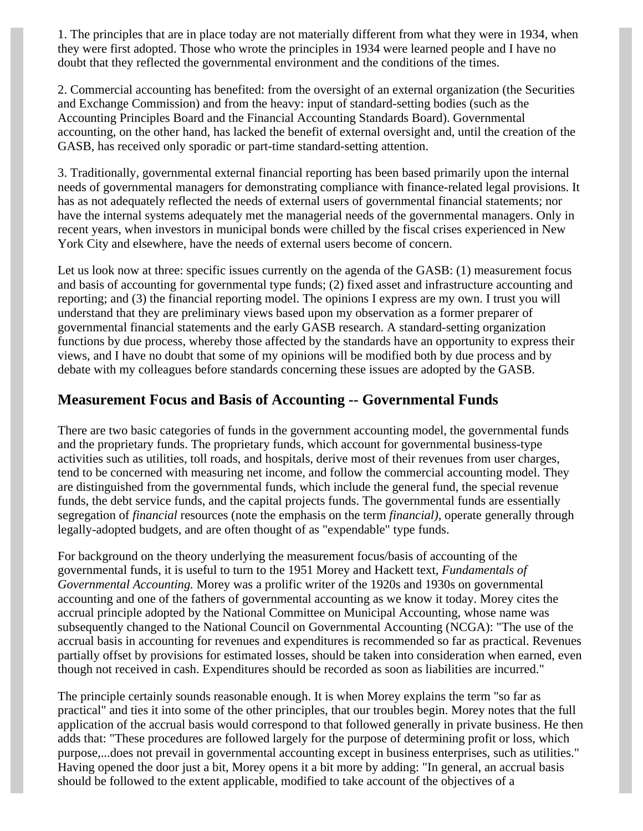1. The principles that are in place today are not materially different from what they were in 1934, when they were first adopted. Those who wrote the principles in 1934 were learned people and I have no doubt that they reflected the governmental environment and the conditions of the times.

2. Commercial accounting has benefited: from the oversight of an external organization (the Securities and Exchange Commission) and from the heavy: input of standard-setting bodies (such as the Accounting Principles Board and the Financial Accounting Standards Board). Governmental accounting, on the other hand, has lacked the benefit of external oversight and, until the creation of the GASB, has received only sporadic or part-time standard-setting attention.

3. Traditionally, governmental external financial reporting has been based primarily upon the internal needs of governmental managers for demonstrating compliance with finance-related legal provisions. It has as not adequately reflected the needs of external users of governmental financial statements; nor have the internal systems adequately met the managerial needs of the governmental managers. Only in recent years, when investors in municipal bonds were chilled by the fiscal crises experienced in New York City and elsewhere, have the needs of external users become of concern.

Let us look now at three: specific issues currently on the agenda of the GASB: (1) measurement focus and basis of accounting for governmental type funds; (2) fixed asset and infrastructure accounting and reporting; and (3) the financial reporting model. The opinions I express are my own. I trust you will understand that they are preliminary views based upon my observation as a former preparer of governmental financial statements and the early GASB research. A standard-setting organization functions by due process, whereby those affected by the standards have an opportunity to express their views, and I have no doubt that some of my opinions will be modified both by due process and by debate with my colleagues before standards concerning these issues are adopted by the GASB.

#### **Measurement Focus and Basis of Accounting -- Governmental Funds**

There are two basic categories of funds in the government accounting model, the governmental funds and the proprietary funds. The proprietary funds, which account for governmental business-type activities such as utilities, toll roads, and hospitals, derive most of their revenues from user charges, tend to be concerned with measuring net income, and follow the commercial accounting model. They are distinguished from the governmental funds, which include the general fund, the special revenue funds, the debt service funds, and the capital projects funds. The governmental funds are essentially segregation of *financial* resources (note the emphasis on the term *financial),* operate generally through legally-adopted budgets, and are often thought of as "expendable" type funds.

For background on the theory underlying the measurement focus/basis of accounting of the governmental funds, it is useful to turn to the 1951 Morey and Hackett text, *Fundamentals of Governmental Accounting.* Morey was a prolific writer of the 1920s and 1930s on governmental accounting and one of the fathers of governmental accounting as we know it today. Morey cites the accrual principle adopted by the National Committee on Municipal Accounting, whose name was subsequently changed to the National Council on Governmental Accounting (NCGA): "The use of the accrual basis in accounting for revenues and expenditures is recommended so far as practical. Revenues partially offset by provisions for estimated losses, should be taken into consideration when earned, even though not received in cash. Expenditures should be recorded as soon as liabilities are incurred."

The principle certainly sounds reasonable enough. It is when Morey explains the term "so far as practical" and ties it into some of the other principles, that our troubles begin. Morey notes that the full application of the accrual basis would correspond to that followed generally in private business. He then adds that: "These procedures are followed largely for the purpose of determining profit or loss, which purpose,...does not prevail in governmental accounting except in business enterprises, such as utilities." Having opened the door just a bit, Morey opens it a bit more by adding: "In general, an accrual basis should be followed to the extent applicable, modified to take account of the objectives of a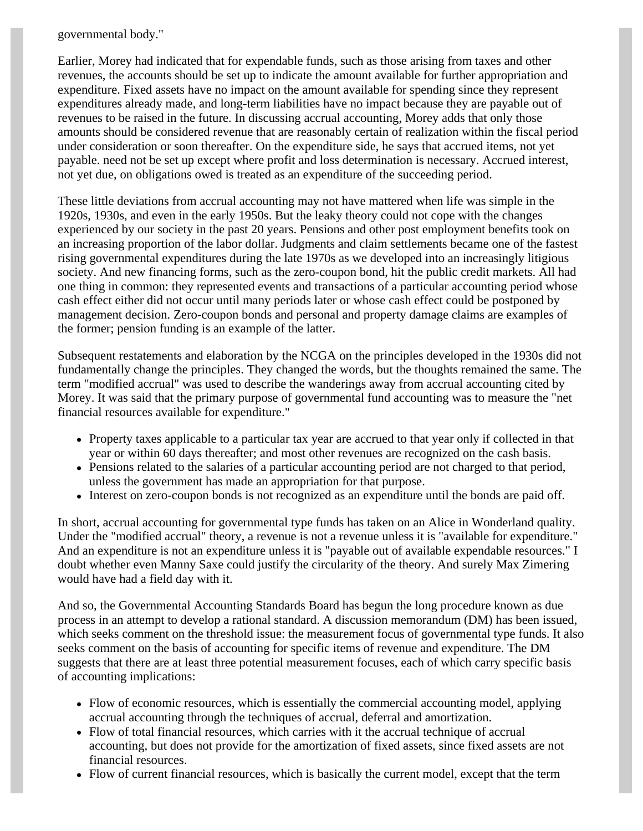governmental body."

Earlier, Morey had indicated that for expendable funds, such as those arising from taxes and other revenues, the accounts should be set up to indicate the amount available for further appropriation and expenditure. Fixed assets have no impact on the amount available for spending since they represent expenditures already made, and long-term liabilities have no impact because they are payable out of revenues to be raised in the future. In discussing accrual accounting, Morey adds that only those amounts should be considered revenue that are reasonably certain of realization within the fiscal period under consideration or soon thereafter. On the expenditure side, he says that accrued items, not yet payable. need not be set up except where profit and loss determination is necessary. Accrued interest, not yet due, on obligations owed is treated as an expenditure of the succeeding period.

These little deviations from accrual accounting may not have mattered when life was simple in the 1920s, 1930s, and even in the early 1950s. But the leaky theory could not cope with the changes experienced by our society in the past 20 years. Pensions and other post employment benefits took on an increasing proportion of the labor dollar. Judgments and claim settlements became one of the fastest rising governmental expenditures during the late 1970s as we developed into an increasingly litigious society. And new financing forms, such as the zero-coupon bond, hit the public credit markets. All had one thing in common: they represented events and transactions of a particular accounting period whose cash effect either did not occur until many periods later or whose cash effect could be postponed by management decision. Zero-coupon bonds and personal and property damage claims are examples of the former; pension funding is an example of the latter.

Subsequent restatements and elaboration by the NCGA on the principles developed in the 1930s did not fundamentally change the principles. They changed the words, but the thoughts remained the same. The term "modified accrual" was used to describe the wanderings away from accrual accounting cited by Morey. It was said that the primary purpose of governmental fund accounting was to measure the "net financial resources available for expenditure."

- Property taxes applicable to a particular tax year are accrued to that year only if collected in that year or within 60 days thereafter; and most other revenues are recognized on the cash basis.
- Pensions related to the salaries of a particular accounting period are not charged to that period, unless the government has made an appropriation for that purpose.
- Interest on zero-coupon bonds is not recognized as an expenditure until the bonds are paid off.

In short, accrual accounting for governmental type funds has taken on an Alice in Wonderland quality. Under the "modified accrual" theory, a revenue is not a revenue unless it is "available for expenditure." And an expenditure is not an expenditure unless it is "payable out of available expendable resources." I doubt whether even Manny Saxe could justify the circularity of the theory. And surely Max Zimering would have had a field day with it.

And so, the Governmental Accounting Standards Board has begun the long procedure known as due process in an attempt to develop a rational standard. A discussion memorandum (DM) has been issued, which seeks comment on the threshold issue: the measurement focus of governmental type funds. It also seeks comment on the basis of accounting for specific items of revenue and expenditure. The DM suggests that there are at least three potential measurement focuses, each of which carry specific basis of accounting implications:

- Flow of economic resources, which is essentially the commercial accounting model, applying accrual accounting through the techniques of accrual, deferral and amortization.
- Flow of total financial resources, which carries with it the accrual technique of accrual accounting, but does not provide for the amortization of fixed assets, since fixed assets are not financial resources.
- Flow of current financial resources, which is basically the current model, except that the term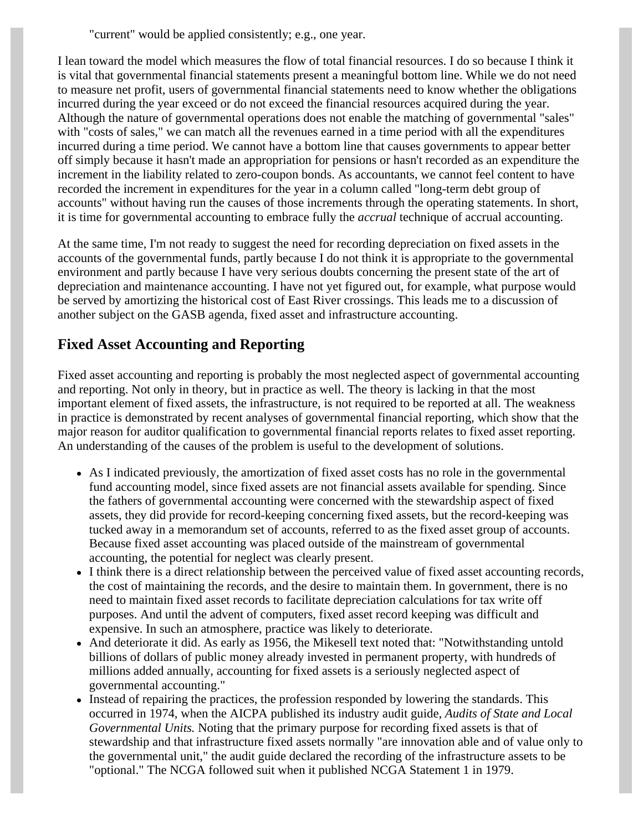"current" would be applied consistently; e.g., one year.

I lean toward the model which measures the flow of total financial resources. I do so because I think it is vital that governmental financial statements present a meaningful bottom line. While we do not need to measure net profit, users of governmental financial statements need to know whether the obligations incurred during the year exceed or do not exceed the financial resources acquired during the year. Although the nature of governmental operations does not enable the matching of governmental "sales" with "costs of sales," we can match all the revenues earned in a time period with all the expenditures incurred during a time period. We cannot have a bottom line that causes governments to appear better off simply because it hasn't made an appropriation for pensions or hasn't recorded as an expenditure the increment in the liability related to zero-coupon bonds. As accountants, we cannot feel content to have recorded the increment in expenditures for the year in a column called "long-term debt group of accounts" without having run the causes of those increments through the operating statements. In short, it is time for governmental accounting to embrace fully the *accrual* technique of accrual accounting.

At the same time, I'm not ready to suggest the need for recording depreciation on fixed assets in the accounts of the governmental funds, partly because I do not think it is appropriate to the governmental environment and partly because I have very serious doubts concerning the present state of the art of depreciation and maintenance accounting. I have not yet figured out, for example, what purpose would be served by amortizing the historical cost of East River crossings. This leads me to a discussion of another subject on the GASB agenda, fixed asset and infrastructure accounting.

### **Fixed Asset Accounting and Reporting**

Fixed asset accounting and reporting is probably the most neglected aspect of governmental accounting and reporting. Not only in theory, but in practice as well. The theory is lacking in that the most important element of fixed assets, the infrastructure, is not required to be reported at all. The weakness in practice is demonstrated by recent analyses of governmental financial reporting, which show that the major reason for auditor qualification to governmental financial reports relates to fixed asset reporting. An understanding of the causes of the problem is useful to the development of solutions.

- As I indicated previously, the amortization of fixed asset costs has no role in the governmental fund accounting model, since fixed assets are not financial assets available for spending. Since the fathers of governmental accounting were concerned with the stewardship aspect of fixed assets, they did provide for record-keeping concerning fixed assets, but the record-keeping was tucked away in a memorandum set of accounts, referred to as the fixed asset group of accounts. Because fixed asset accounting was placed outside of the mainstream of governmental accounting, the potential for neglect was clearly present.
- I think there is a direct relationship between the perceived value of fixed asset accounting records, the cost of maintaining the records, and the desire to maintain them. In government, there is no need to maintain fixed asset records to facilitate depreciation calculations for tax write off purposes. And until the advent of computers, fixed asset record keeping was difficult and expensive. In such an atmosphere, practice was likely to deteriorate.
- And deteriorate it did. As early as 1956, the Mikesell text noted that: "Notwithstanding untold billions of dollars of public money already invested in permanent property, with hundreds of millions added annually, accounting for fixed assets is a seriously neglected aspect of governmental accounting."
- Instead of repairing the practices, the profession responded by lowering the standards. This occurred in 1974, when the AICPA published its industry audit guide, *Audits of State and Local Governmental Units.* Noting that the primary purpose for recording fixed assets is that of stewardship and that infrastructure fixed assets normally "are innovation able and of value only to the governmental unit," the audit guide declared the recording of the infrastructure assets to be "optional." The NCGA followed suit when it published NCGA Statement 1 in 1979.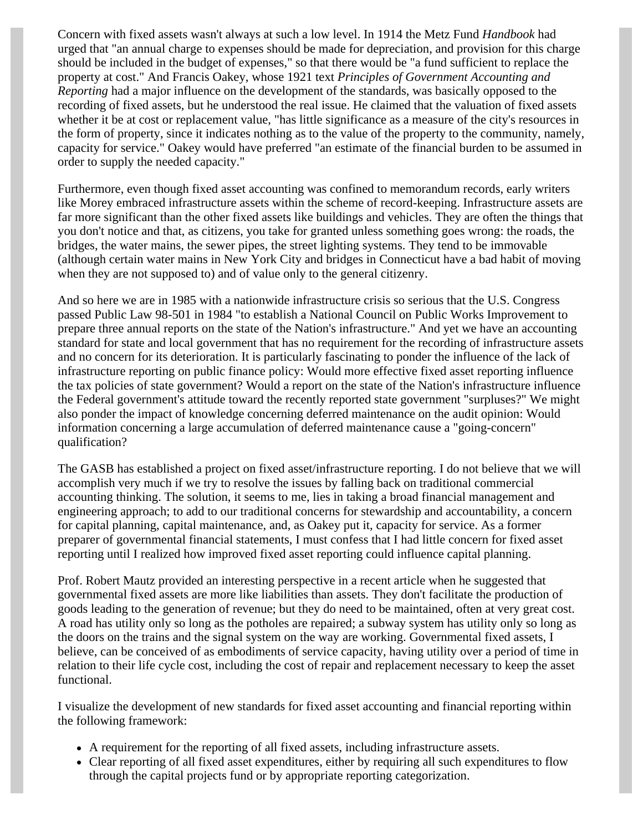Concern with fixed assets wasn't always at such a low level. In 1914 the Metz Fund *Handbook* had urged that "an annual charge to expenses should be made for depreciation, and provision for this charge should be included in the budget of expenses," so that there would be "a fund sufficient to replace the property at cost." And Francis Oakey, whose 1921 text *Principles of Government Accounting and Reporting* had a major influence on the development of the standards, was basically opposed to the recording of fixed assets, but he understood the real issue. He claimed that the valuation of fixed assets whether it be at cost or replacement value, "has little significance as a measure of the city's resources in the form of property, since it indicates nothing as to the value of the property to the community, namely, capacity for service." Oakey would have preferred "an estimate of the financial burden to be assumed in order to supply the needed capacity."

Furthermore, even though fixed asset accounting was confined to memorandum records, early writers like Morey embraced infrastructure assets within the scheme of record-keeping. Infrastructure assets are far more significant than the other fixed assets like buildings and vehicles. They are often the things that you don't notice and that, as citizens, you take for granted unless something goes wrong: the roads, the bridges, the water mains, the sewer pipes, the street lighting systems. They tend to be immovable (although certain water mains in New York City and bridges in Connecticut have a bad habit of moving when they are not supposed to) and of value only to the general citizenry.

And so here we are in 1985 with a nationwide infrastructure crisis so serious that the U.S. Congress passed Public Law 98-501 in 1984 "to establish a National Council on Public Works Improvement to prepare three annual reports on the state of the Nation's infrastructure." And yet we have an accounting standard for state and local government that has no requirement for the recording of infrastructure assets and no concern for its deterioration. It is particularly fascinating to ponder the influence of the lack of infrastructure reporting on public finance policy: Would more effective fixed asset reporting influence the tax policies of state government? Would a report on the state of the Nation's infrastructure influence the Federal government's attitude toward the recently reported state government "surpluses?" We might also ponder the impact of knowledge concerning deferred maintenance on the audit opinion: Would information concerning a large accumulation of deferred maintenance cause a "going-concern" qualification?

The GASB has established a project on fixed asset/infrastructure reporting. I do not believe that we will accomplish very much if we try to resolve the issues by falling back on traditional commercial accounting thinking. The solution, it seems to me, lies in taking a broad financial management and engineering approach; to add to our traditional concerns for stewardship and accountability, a concern for capital planning, capital maintenance, and, as Oakey put it, capacity for service. As a former preparer of governmental financial statements, I must confess that I had little concern for fixed asset reporting until I realized how improved fixed asset reporting could influence capital planning.

Prof. Robert Mautz provided an interesting perspective in a recent article when he suggested that governmental fixed assets are more like liabilities than assets. They don't facilitate the production of goods leading to the generation of revenue; but they do need to be maintained, often at very great cost. A road has utility only so long as the potholes are repaired; a subway system has utility only so long as the doors on the trains and the signal system on the way are working. Governmental fixed assets, I believe, can be conceived of as embodiments of service capacity, having utility over a period of time in relation to their life cycle cost, including the cost of repair and replacement necessary to keep the asset functional.

I visualize the development of new standards for fixed asset accounting and financial reporting within the following framework:

- A requirement for the reporting of all fixed assets, including infrastructure assets.
- Clear reporting of all fixed asset expenditures, either by requiring all such expenditures to flow through the capital projects fund or by appropriate reporting categorization.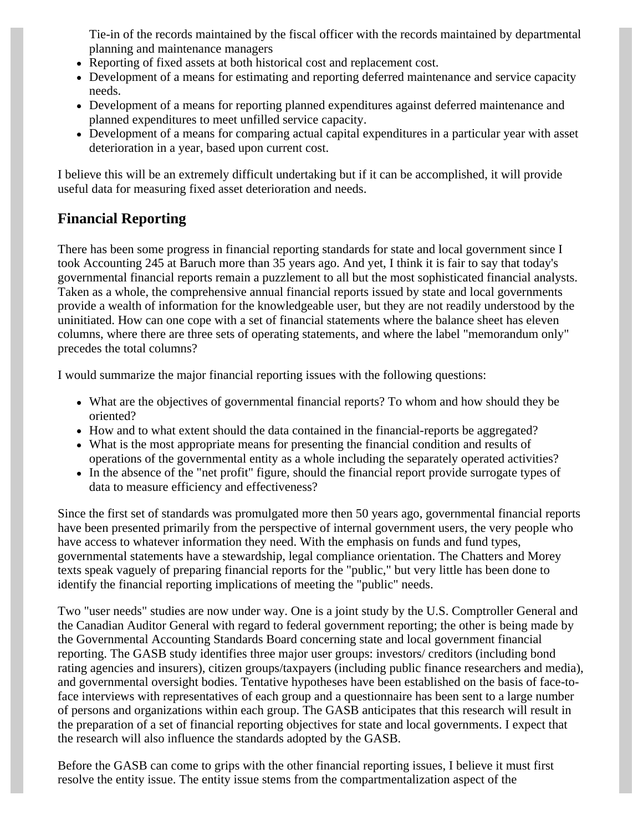Tie-in of the records maintained by the fiscal officer with the records maintained by departmental planning and maintenance managers

- Reporting of fixed assets at both historical cost and replacement cost.
- Development of a means for estimating and reporting deferred maintenance and service capacity needs.
- Development of a means for reporting planned expenditures against deferred maintenance and planned expenditures to meet unfilled service capacity.
- Development of a means for comparing actual capital expenditures in a particular year with asset deterioration in a year, based upon current cost.

I believe this will be an extremely difficult undertaking but if it can be accomplished, it will provide useful data for measuring fixed asset deterioration and needs.

### **Financial Reporting**

There has been some progress in financial reporting standards for state and local government since I took Accounting 245 at Baruch more than 35 years ago. And yet, I think it is fair to say that today's governmental financial reports remain a puzzlement to all but the most sophisticated financial analysts. Taken as a whole, the comprehensive annual financial reports issued by state and local governments provide a wealth of information for the knowledgeable user, but they are not readily understood by the uninitiated. How can one cope with a set of financial statements where the balance sheet has eleven columns, where there are three sets of operating statements, and where the label "memorandum only" precedes the total columns?

I would summarize the major financial reporting issues with the following questions:

- What are the objectives of governmental financial reports? To whom and how should they be oriented?
- How and to what extent should the data contained in the financial-reports be aggregated?
- What is the most appropriate means for presenting the financial condition and results of operations of the governmental entity as a whole including the separately operated activities?
- In the absence of the "net profit" figure, should the financial report provide surrogate types of data to measure efficiency and effectiveness?

Since the first set of standards was promulgated more then 50 years ago, governmental financial reports have been presented primarily from the perspective of internal government users, the very people who have access to whatever information they need. With the emphasis on funds and fund types, governmental statements have a stewardship, legal compliance orientation. The Chatters and Morey texts speak vaguely of preparing financial reports for the "public," but very little has been done to identify the financial reporting implications of meeting the "public" needs.

Two "user needs" studies are now under way. One is a joint study by the U.S. Comptroller General and the Canadian Auditor General with regard to federal government reporting; the other is being made by the Governmental Accounting Standards Board concerning state and local government financial reporting. The GASB study identifies three major user groups: investors/ creditors (including bond rating agencies and insurers), citizen groups/taxpayers (including public finance researchers and media), and governmental oversight bodies. Tentative hypotheses have been established on the basis of face-toface interviews with representatives of each group and a questionnaire has been sent to a large number of persons and organizations within each group. The GASB anticipates that this research will result in the preparation of a set of financial reporting objectives for state and local governments. I expect that the research will also influence the standards adopted by the GASB.

Before the GASB can come to grips with the other financial reporting issues, I believe it must first resolve the entity issue. The entity issue stems from the compartmentalization aspect of the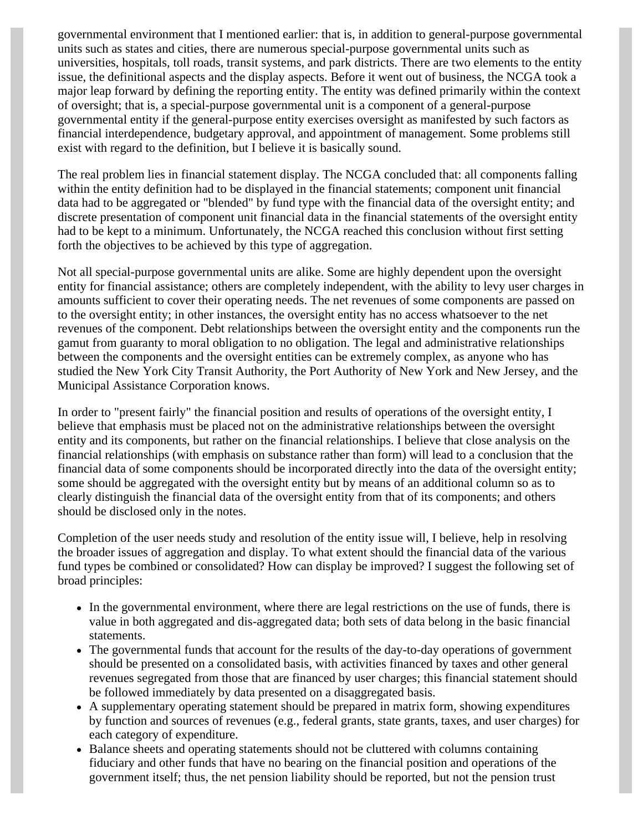governmental environment that I mentioned earlier: that is, in addition to general-purpose governmental units such as states and cities, there are numerous special-purpose governmental units such as universities, hospitals, toll roads, transit systems, and park districts. There are two elements to the entity issue, the definitional aspects and the display aspects. Before it went out of business, the NCGA took a major leap forward by defining the reporting entity. The entity was defined primarily within the context of oversight; that is, a special-purpose governmental unit is a component of a general-purpose governmental entity if the general-purpose entity exercises oversight as manifested by such factors as financial interdependence, budgetary approval, and appointment of management. Some problems still exist with regard to the definition, but I believe it is basically sound.

The real problem lies in financial statement display. The NCGA concluded that: all components falling within the entity definition had to be displayed in the financial statements; component unit financial data had to be aggregated or "blended" by fund type with the financial data of the oversight entity; and discrete presentation of component unit financial data in the financial statements of the oversight entity had to be kept to a minimum. Unfortunately, the NCGA reached this conclusion without first setting forth the objectives to be achieved by this type of aggregation.

Not all special-purpose governmental units are alike. Some are highly dependent upon the oversight entity for financial assistance; others are completely independent, with the ability to levy user charges in amounts sufficient to cover their operating needs. The net revenues of some components are passed on to the oversight entity; in other instances, the oversight entity has no access whatsoever to the net revenues of the component. Debt relationships between the oversight entity and the components run the gamut from guaranty to moral obligation to no obligation. The legal and administrative relationships between the components and the oversight entities can be extremely complex, as anyone who has studied the New York City Transit Authority, the Port Authority of New York and New Jersey, and the Municipal Assistance Corporation knows.

In order to "present fairly" the financial position and results of operations of the oversight entity, I believe that emphasis must be placed not on the administrative relationships between the oversight entity and its components, but rather on the financial relationships. I believe that close analysis on the financial relationships (with emphasis on substance rather than form) will lead to a conclusion that the financial data of some components should be incorporated directly into the data of the oversight entity; some should be aggregated with the oversight entity but by means of an additional column so as to clearly distinguish the financial data of the oversight entity from that of its components; and others should be disclosed only in the notes.

Completion of the user needs study and resolution of the entity issue will, I believe, help in resolving the broader issues of aggregation and display. To what extent should the financial data of the various fund types be combined or consolidated? How can display be improved? I suggest the following set of broad principles:

- In the governmental environment, where there are legal restrictions on the use of funds, there is value in both aggregated and dis-aggregated data; both sets of data belong in the basic financial statements.
- The governmental funds that account for the results of the day-to-day operations of government should be presented on a consolidated basis, with activities financed by taxes and other general revenues segregated from those that are financed by user charges; this financial statement should be followed immediately by data presented on a disaggregated basis.
- A supplementary operating statement should be prepared in matrix form, showing expenditures by function and sources of revenues (e.g., federal grants, state grants, taxes, and user charges) for each category of expenditure.
- Balance sheets and operating statements should not be cluttered with columns containing fiduciary and other funds that have no bearing on the financial position and operations of the government itself; thus, the net pension liability should be reported, but not the pension trust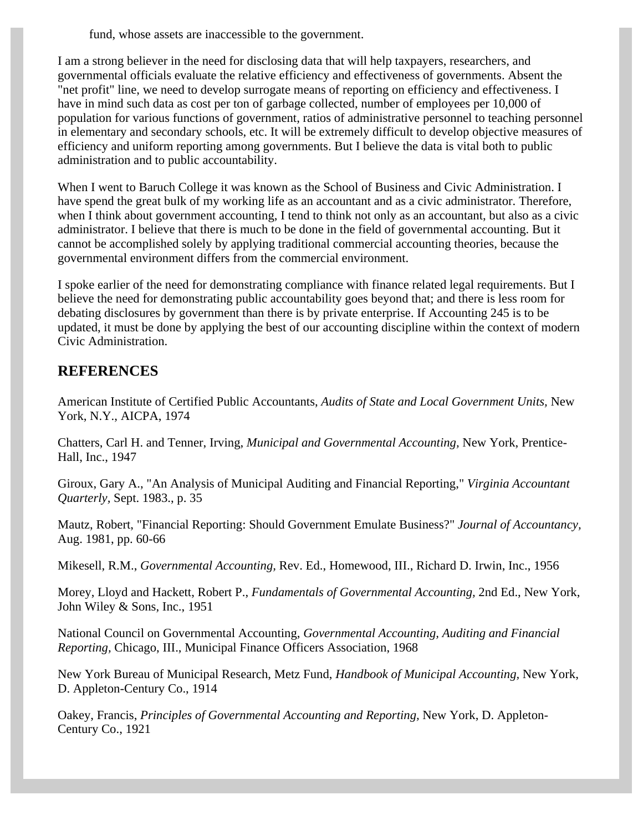fund, whose assets are inaccessible to the government.

I am a strong believer in the need for disclosing data that will help taxpayers, researchers, and governmental officials evaluate the relative efficiency and effectiveness of governments. Absent the "net profit" line, we need to develop surrogate means of reporting on efficiency and effectiveness. I have in mind such data as cost per ton of garbage collected, number of employees per 10,000 of population for various functions of government, ratios of administrative personnel to teaching personnel in elementary and secondary schools, etc. It will be extremely difficult to develop objective measures of efficiency and uniform reporting among governments. But I believe the data is vital both to public administration and to public accountability.

When I went to Baruch College it was known as the School of Business and Civic Administration. I have spend the great bulk of my working life as an accountant and as a civic administrator. Therefore, when I think about government accounting, I tend to think not only as an accountant, but also as a civic administrator. I believe that there is much to be done in the field of governmental accounting. But it cannot be accomplished solely by applying traditional commercial accounting theories, because the governmental environment differs from the commercial environment.

I spoke earlier of the need for demonstrating compliance with finance related legal requirements. But I believe the need for demonstrating public accountability goes beyond that; and there is less room for debating disclosures by government than there is by private enterprise. If Accounting 245 is to be updated, it must be done by applying the best of our accounting discipline within the context of modern Civic Administration.

### **REFERENCES**

American Institute of Certified Public Accountants, *Audits of State and Local Government Units,* New York, N.Y., AICPA, 1974

Chatters, Carl H. and Tenner, Irving, *Municipal and Governmental Accounting,* New York, Prentice-Hall, Inc., 1947

Giroux, Gary A., "An Analysis of Municipal Auditing and Financial Reporting," *Virginia Accountant Quarterly,* Sept. 1983., p. 35

Mautz, Robert, "Financial Reporting: Should Government Emulate Business?" *Journal of Accountancy,* Aug. 1981, pp. 60-66

Mikesell, R.M., *Governmental Accounting,* Rev. Ed., Homewood, III., Richard D. Irwin, Inc., 1956

Morey, Lloyd and Hackett, Robert P., *Fundamentals of Governmental Accounting,* 2nd Ed., New York, John Wiley & Sons, Inc., 1951

National Council on Governmental Accounting, *Governmental Accounting, Auditing and Financial Reporting,* Chicago, III., Municipal Finance Officers Association, 1968

New York Bureau of Municipal Research, Metz Fund, *Handbook of Municipal Accounting,* New York, D. Appleton-Century Co., 1914

Oakey, Francis, *Principles of Governmental Accounting and Reporting,* New York, D. Appleton-Century Co., 1921